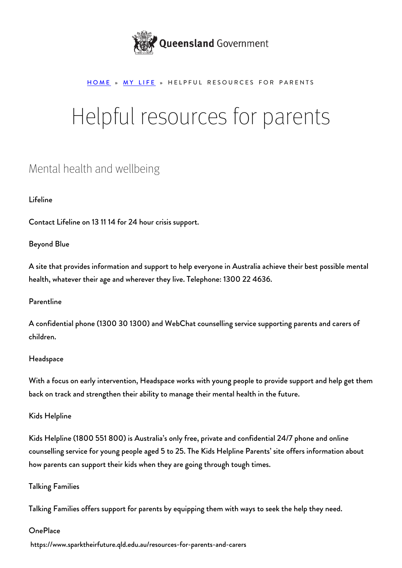

#### [HOME](https://www.sparktheirfuture.qld.edu.au/) » [MY LIFE](https://www.sparktheirfuture.qld.edu.au/category/my-life/) » HELPFUL RESOURCES FOR PARENTS

# Helpful resources for parents

# Mental health and wellbeing

#### [Lifeline](https://www.lifeline.org.au/)

Contact Lifeline on 13 11 14 for 24 hour crisis support.

#### [Beyond Blue](https://www.beyondblue.org.au/)

A site that provides information and support to help everyone in Australia achieve their best possible mental health, whatever their age and wherever they live. Telephone: 1300 22 4636.

#### [Parentline](https://parentline.com.au/)

A confidential phone (1300 30 1300) and WebChat counselling service supporting parents and carers of children.

#### [Headspace](https://headspace.org.au/)

With a focus on early intervention, Headspace works with young people to provide support and help get them back on track and strengthen their ability to manage their mental health in the future.

#### [Kids Helpline](https://kidshelpline.com.au/parents)

Kids Helpline (1800 551 800) is Australia's only free, private and confidential 24/7 phone and online counselling service for young people aged 5 to 25. The Kids Helpline Parents' site offers information about how parents can support their kids when they are going through tough times.

#### [Talking Families](https://talkingfamilies.qld.gov.au/)

Talking Families offers support for parents by equipping them with ways to seek the help they need.

#### **[OnePlace](https://www.oneplace.org.au/)**

https://www.sparktheirfuture.qld.edu.au/resources-for-parents-and-carers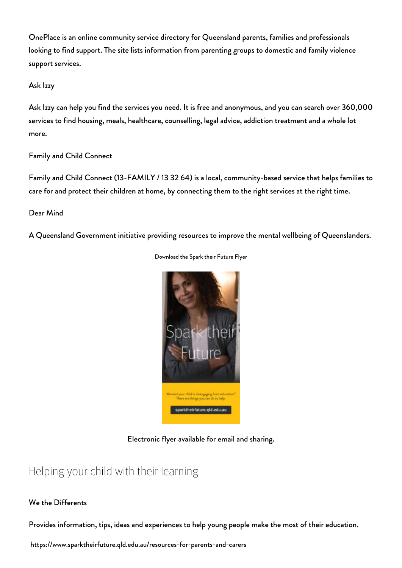OnePlace is an online community service directory for Queensland parents, families and professionals looking to find support. The site lists information from parenting groups to domestic and family violence support services.

# [Ask Izzy](https://askizzy.org.au/)

Ask Izzy can help you find the services you need. It is free and anonymous, and you can search over 360,000 services to find housing, meals, healthcare, counselling, legal advice, addiction treatment and a whole lot more.

# [Family and Child Connect](http://familychildconnect.org.au/)

Family and Child Connect (13-FAMILY / 13 32 64) is a local, community-based service that helps families to care for and protect their children at home, by connecting them to the right services at the right time.

## [Dear Mind](https://mentalwellbeing.initiatives.qld.gov.au/)

A Queensland Government initiative providing resources to improve the mental wellbeing of Queenslanders.



[Download the Spark their Future Flyer](https://s3-ap-southeast-2.amazonaws.com/qde-uploads/wp-content/uploads/2020/07/15042615/Spark-their-Future-DL-Flyer.pdf)

## Electronic flyer available for email and sharing.

# Helping your child with their learning

## [We the Differents](https://www.wethedifferents.qld.edu.au/)

Provides information, tips, ideas and experiences to help young people make the most of their education.

https://www.sparktheirfuture.qld.edu.au/resources-for-parents-and-carers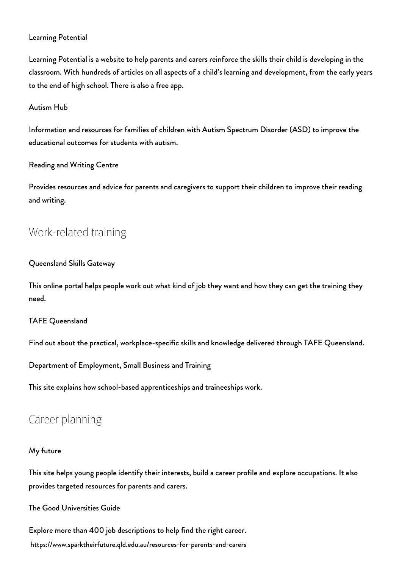# [Learning Potential](https://www.learningpotential.gov.au/)

Learning Potential is a website to help parents and carers reinforce the skills their child is developing in the classroom. With hundreds of articles on all aspects of a child's learning and development, from the early years to the end of high school. There is also a free app.

## [Autism Hub](https://autismhub.education.qld.gov.au/)

Information and resources for families of children with Autism Spectrum Disorder (ASD) to improve the educational outcomes for students with autism.

## [Reading and Writing Centre](https://readingwritingcentre.education.qld.gov.au/)

Provides resources and advice for parents and caregivers to support their children to improve their reading and writing.

# Work-related training

## [Queensland Skills Gateway](http://skillsgateway.training.qld.gov.au/)

This online portal helps people work out what kind of job they want and how they can get the training they need.

## [TAFE Queensland](https://tafeqld.edu.au/information-for/parent-and-advisors/index.html?)

Find out about the practical, workplace-specific skills and knowledge delivered through TAFE Queensland.

[Department of Employment, Small Business and Training](https://desbt.qld.gov.au/training/apprentices/sats)

This site explains how school-based apprenticeships and traineeships work.

# Career planning

## [My future](https://myfuture.edu.au/home)

This site helps young people identify their interests, build a career profile and explore occupations. It also provides targeted resources for parents and carers.

[The Good Universities Guide](https://www.gooduniversitiesguide.com.au/careers-guide)

https://www.sparktheirfuture.qld.edu.au/resources-for-parents-and-carers Explore more than 400 job descriptions to help find the right career.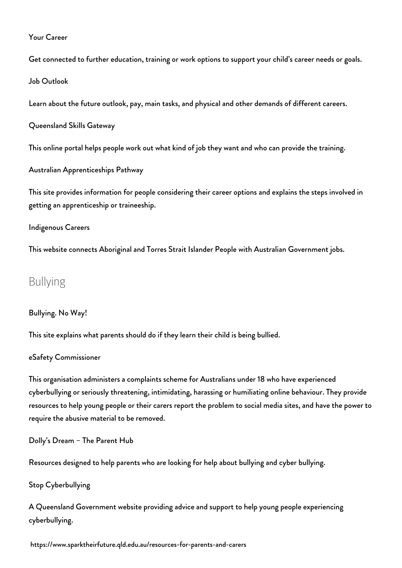#### [Your Career](https://www.yourcareer.gov.au/)

Get connected to further education, training or work options to support your child's career needs or goals.

#### [Job Outlook](https://joboutlook.gov.au/)

Learn about the future outlook, pay, main tasks, and physical and other demands of different careers.

[Queensland Skills Gateway](http://skillsgateway.training.qld.gov.au/)

This online portal helps people work out what kind of job they want and who can provide the training.

[Australian Apprenticeships Pathway](https://www.aapathways.com.au/)

This site provides information for people considering their career options and explains the steps involved in getting an apprenticeship or traineeship.

#### [Indigenous Careers](https://www.indigenouscareers.gov.au/)

This website connects Aboriginal and Torres Strait Islander People with Australian Government jobs.

# Bullying

#### [Bullying. No Way!](https://bullyingnoway.gov.au/support-and-advice/for-families)

This site explains what parents should do if they learn their child is being bullied.

#### [eSafety Commissioner](https://www.esafety.gov.au/key-issues/cyberbullying)

This organisation administers a complaints scheme for Australians under 18 who have experienced cyberbullying or seriously threatening, intimidating, harassing or humiliating online behaviour. They provide resources to help young people or their carers report the problem to social media sites, and have the power to require the abusive material to be removed.

[Dolly's Dream – The Parent Hub](https://parenthub.dollysdream.org.au/)

Resources designed to help parents who are looking for help about bullying and cyber bullying.

#### [Stop Cyberbullying](http://www.qld.gov.au/stopcyberbullying)

A Queensland Government website providing advice and support to help young people experiencing cyberbullying.

https://www.sparktheirfuture.qld.edu.au/resources-for-parents-and-carers